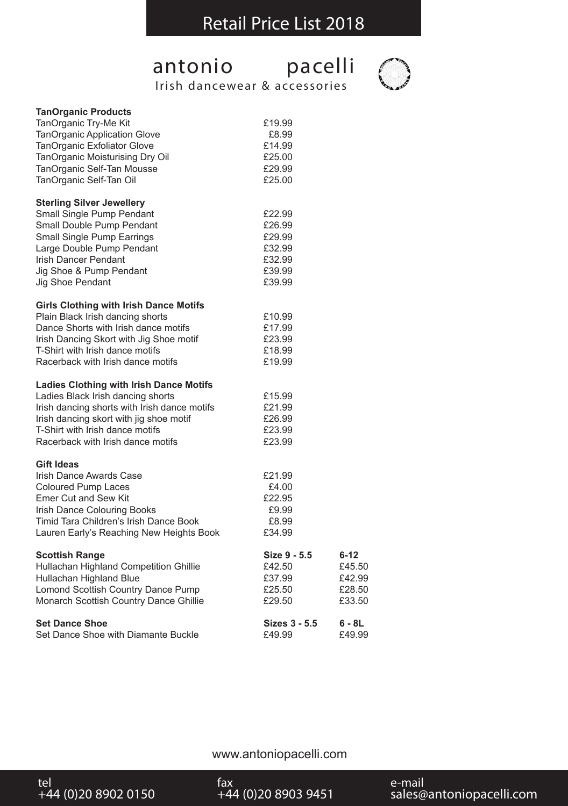# antonio pacelli



Irish dancewear & accessories

| <b>Set Dance Shoe</b><br>Set Dance Shoe with Diamante Buckle                                                                                                                                                                                           | Sizes 3 - 5.5<br>£49.99                                            | 6 - 8L<br>£49.99                                 |
|--------------------------------------------------------------------------------------------------------------------------------------------------------------------------------------------------------------------------------------------------------|--------------------------------------------------------------------|--------------------------------------------------|
| <b>Scottish Range</b><br>Hullachan Highland Competition Ghillie<br>Hullachan Highland Blue<br>Lomond Scottish Country Dance Pump<br>Monarch Scottish Country Dance Ghillie                                                                             | Size 9 - 5.5<br>£42.50<br>£37.99<br>£25.50<br>£29.50               | $6 - 12$<br>£45.50<br>£42.99<br>£28.50<br>£33.50 |
| <b>Gift Ideas</b><br>Irish Dance Awards Case<br><b>Coloured Pump Laces</b><br><b>Emer Cut and Sew Kit</b><br>Irish Dance Colouring Books<br>Timid Tara Children's Irish Dance Book<br>Lauren Early's Reaching New Heights Book                         | £21.99<br>£4.00<br>£22.95<br>£9.99<br>£8.99<br>£34.99              |                                                  |
| <b>Ladies Clothing with Irish Dance Motifs</b><br>Ladies Black Irish dancing shorts<br>Irish dancing shorts with Irish dance motifs<br>Irish dancing skort with jig shoe motif<br>T-Shirt with Irish dance motifs<br>Racerback with Irish dance motifs | £15.99<br>£21.99<br>£26.99<br>£23.99<br>£23.99                     |                                                  |
| Girls Clothing with Irish Dance Motifs<br>Plain Black Irish dancing shorts<br>Dance Shorts with Irish dance motifs<br>Irish Dancing Skort with Jig Shoe motif<br>T-Shirt with Irish dance motifs<br>Racerback with Irish dance motifs                  | £10.99<br>£17.99<br>£23.99<br>£18.99<br>£19.99                     |                                                  |
| <b>Sterling Silver Jewellery</b><br>Small Single Pump Pendant<br>Small Double Pump Pendant<br><b>Small Single Pump Earrings</b><br>Large Double Pump Pendant<br><b>Irish Dancer Pendant</b><br>Jig Shoe & Pump Pendant<br>Jig Shoe Pendant             | £22.99<br>£26.99<br>£29.99<br>£32.99<br>£32.99<br>£39.99<br>£39.99 |                                                  |
| <b>TanOrganic Products</b><br>TanOrganic Try-Me Kit<br>TanOrganic Application Glove<br>TanOrganic Exfoliator Glove<br>TanOrganic Moisturising Dry Oil<br>TanOrganic Self-Tan Mousse<br>TanOrganic Self-Tan Oil                                         | £19.99<br>£8.99<br>£14.99<br>£25.00<br>£29.99<br>£25.00            |                                                  |

#### www.antoniopacelli.com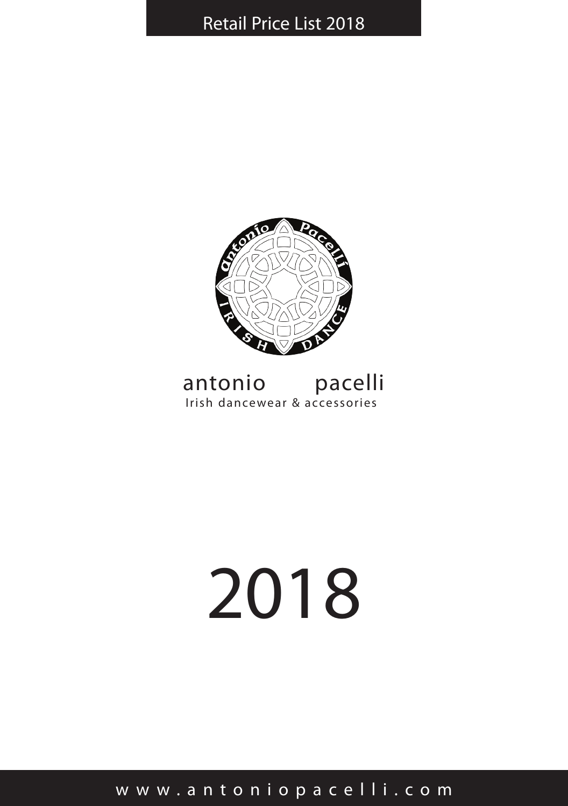### Retail Price List 2018



### antonio pacelli Irish dancewear & accessories

# 2018

www.antoniopacelli.com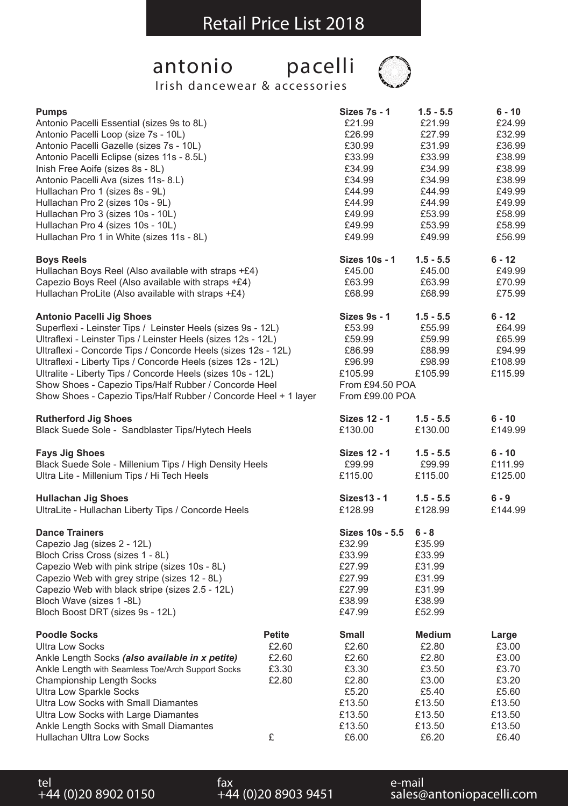### antonio pacelli



Irish dancewear & accessories

| <b>Pumps</b>                                                    |               | <b>Sizes 7s - 1</b>  | $1.5 - 5.5$   | $6 - 10$ |
|-----------------------------------------------------------------|---------------|----------------------|---------------|----------|
| Antonio Pacelli Essential (sizes 9s to 8L)                      |               | £21.99               | £21.99        | £24.99   |
| Antonio Pacelli Loop (size 7s - 10L)                            |               | £26.99               | £27.99        | £32.99   |
| Antonio Pacelli Gazelle (sizes 7s - 10L)                        |               | £30.99               | £31.99        | £36.99   |
| Antonio Pacelli Eclipse (sizes 11s - 8.5L)                      |               | £33.99               | £33.99        | £38.99   |
| Inish Free Aoife (sizes 8s - 8L)                                |               | £34.99               | £34.99        | £38.99   |
| Antonio Pacelli Ava (sizes 11s-8.L)                             |               | £34.99               | £34.99        | £38.99   |
| Hullachan Pro 1 (sizes 8s - 9L)                                 |               | £44.99               | £44.99        | £49.99   |
| Hullachan Pro 2 (sizes 10s - 9L)                                |               | £44.99               | £44.99        | £49.99   |
| Hullachan Pro 3 (sizes 10s - 10L)                               |               | £49.99               | £53.99        | £58.99   |
| Hullachan Pro 4 (sizes 10s - 10L)                               |               | £49.99               | £53.99        | £58.99   |
| Hullachan Pro 1 in White (sizes 11s - 8L)                       |               | £49.99               | £49.99        | £56.99   |
| <b>Boys Reels</b>                                               |               | <b>Sizes 10s - 1</b> | $1.5 - 5.5$   | $6 - 12$ |
| Hullachan Boys Reel (Also available with straps +£4)            |               | £45.00               | £45.00        | £49.99   |
| Capezio Boys Reel (Also available with straps +£4)              |               | £63.99               | £63.99        | £70.99   |
| Hullachan ProLite (Also available with straps +£4)              |               | £68.99               | £68.99        | £75.99   |
| <b>Antonio Pacelli Jig Shoes</b>                                |               | <b>Sizes 9s - 1</b>  | $1.5 - 5.5$   | $6 - 12$ |
| Superflexi - Leinster Tips / Leinster Heels (sizes 9s - 12L)    |               | £53.99               | £55.99        | £64.99   |
| Ultraflexi - Leinster Tips / Leinster Heels (sizes 12s - 12L)   |               | £59.99               | £59.99        | £65.99   |
| Ultraflexi - Concorde Tips / Concorde Heels (sizes 12s - 12L)   |               | £86.99               | £88.99        | £94.99   |
| Ultraflexi - Liberty Tips / Concorde Heels (sizes 12s - 12L)    |               | £96.99               | £98.99        | £108.99  |
| Ultralite - Liberty Tips / Concorde Heels (sizes 10s - 12L)     |               | £105.99              | £105.99       | £115.99  |
| Show Shoes - Capezio Tips/Half Rubber / Concorde Heel           |               | From £94.50 POA      |               |          |
| Show Shoes - Capezio Tips/Half Rubber / Concorde Heel + 1 layer |               | From £99.00 POA      |               |          |
| <b>Rutherford Jig Shoes</b>                                     |               | <b>Sizes 12 - 1</b>  | $1.5 - 5.5$   | $6 - 10$ |
| Black Suede Sole - Sandblaster Tips/Hytech Heels                |               | £130.00              | £130.00       | £149.99  |
| <b>Fays Jig Shoes</b>                                           |               | <b>Sizes 12 - 1</b>  | $1.5 - 5.5$   | $6 - 10$ |
| Black Suede Sole - Millenium Tips / High Density Heels          |               | £99.99               | £99.99        | £111.99  |
| Ultra Lite - Millenium Tips / Hi Tech Heels                     |               | £115.00              | £115.00       | £125.00  |
| <b>Hullachan Jig Shoes</b>                                      |               | <b>Sizes13 - 1</b>   | $1.5 - 5.5$   | $6 - 9$  |
| UltraLite - Hullachan Liberty Tips / Concorde Heels             |               | £128.99              | £128.99       | £144.99  |
| <b>Dance Trainers</b>                                           |               | Sizes 10s - 5.5      | $6 - 8$       |          |
| Capezio Jag (sizes 2 - 12L)                                     |               | £32.99               | £35.99        |          |
| Bloch Criss Cross (sizes 1 - 8L)                                |               | £33.99               | £33.99        |          |
| Capezio Web with pink stripe (sizes 10s - 8L)                   |               | £27.99               | £31.99        |          |
| Capezio Web with grey stripe (sizes 12 - 8L)                    |               | £27.99               | £31.99        |          |
| Capezio Web with black stripe (sizes 2.5 - 12L)                 |               | £27.99               | £31.99        |          |
| Bloch Wave (sizes 1-8L)                                         |               | £38.99               | £38.99        |          |
| Bloch Boost DRT (sizes 9s - 12L)                                |               | £47.99               | £52.99        |          |
| <b>Poodle Socks</b>                                             | <b>Petite</b> | <b>Small</b>         | <b>Medium</b> | Large    |
| <b>Ultra Low Socks</b>                                          | £2.60         | £2.60                | £2.80         | £3.00    |
| Ankle Length Socks (also available in x petite)                 | £2.60         | £2.60                | £2.80         | £3.00    |
| Ankle Length with Seamless Toe/Arch Support Socks               | £3.30         | £3.30                | £3.50         | £3.70    |
| Championship Length Socks                                       | £2.80         | £2.80                | £3.00         | £3.20    |
| Ultra Low Sparkle Socks                                         |               | £5.20                | £5.40         | £5.60    |
| Ultra Low Socks with Small Diamantes                            |               | £13.50               | £13.50        | £13.50   |
| Ultra Low Socks with Large Diamantes                            |               | £13.50               | £13.50        | £13.50   |
| Ankle Length Socks with Small Diamantes                         |               | £13.50               | £13.50        | £13.50   |
| Hullachan Ultra Low Socks                                       | £             | £6.00                | £6.20         | £6.40    |
|                                                                 |               |                      |               |          |

+44 (0)20 8902 0150 +44 (0)20 8903 9451 sales@antoniopacelli.com +44 (0)20 8902 0150 +44 (0)20 8903 9451 sales@antoniopacelli.com